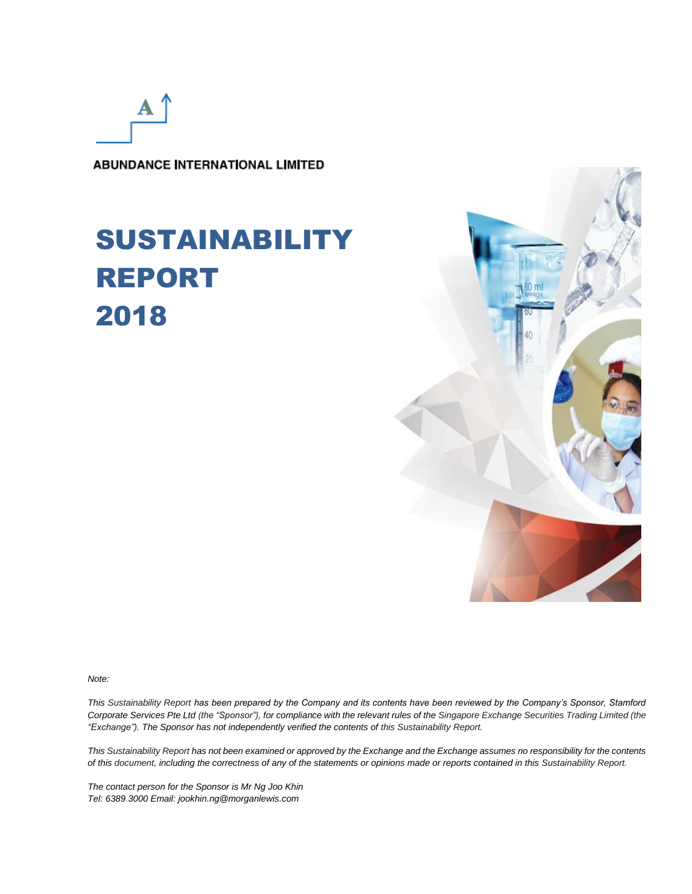А

**ABUNDANCE INTERNATIONAL LIMITED** 

## SUSTAINABILITY REPORT 2018



*Note:*

*This Sustainability Report has been prepared by the Company and its contents have been reviewed by the Company's Sponsor, Stamford Corporate Services Pte Ltd (the "Sponsor"), for compliance with the relevant rules of the Singapore Exchange Securities Trading Limited (the "Exchange"). The Sponsor has not independently verified the contents of this Sustainability Report.*

*This Sustainability Report has not been examined or approved by the Exchange and the Exchange assumes no responsibility for the contents of this document, including the correctness of any of the statements or opinions made or reports contained in this Sustainability Report.*

*The contact person for the Sponsor is Mr Ng Joo Khin Tel: 6389 3000 Email: jookhin.ng@morganlewis.com*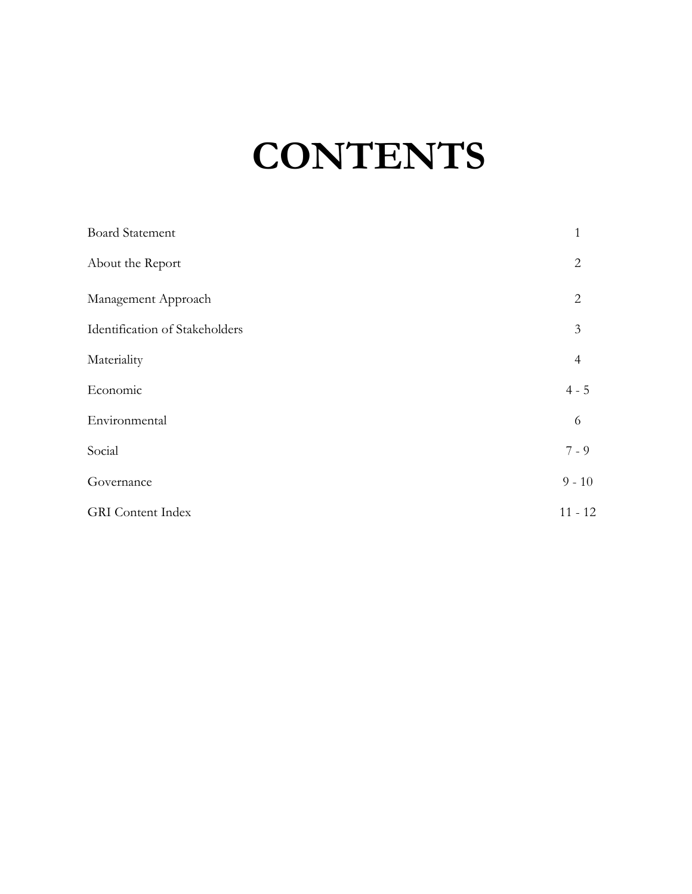# **CONTENTS**

| <b>Board Statement</b>         | $\mathbf{1}$   |
|--------------------------------|----------------|
| About the Report               | $\overline{2}$ |
| Management Approach            | $\overline{2}$ |
| Identification of Stakeholders | 3              |
| Materiality                    | $\overline{4}$ |
| Economic                       | $4 - 5$        |
| Environmental                  | 6              |
| Social                         | $7 - 9$        |
| Governance                     | $9 - 10$       |
| <b>GRI</b> Content Index       | $11 - 12$      |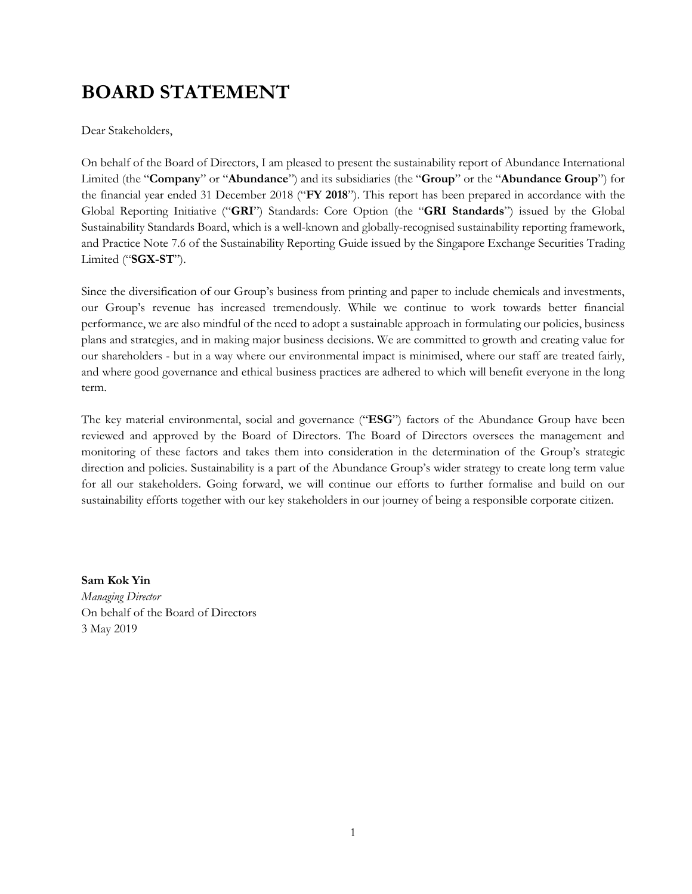## **BOARD STATEMENT**

Dear Stakeholders,

On behalf of the Board of Directors, I am pleased to present the sustainability report of Abundance International Limited (the "**Company**" or "**Abundance**") and its subsidiaries (the "**Group**" or the "**Abundance Group**") for the financial year ended 31 December 2018 ("**FY 2018**"). This report has been prepared in accordance with the Global Reporting Initiative ("**GRI**") Standards: Core Option (the "**GRI Standards**") issued by the Global Sustainability Standards Board, which is a well-known and globally-recognised sustainability reporting framework, and Practice Note 7.6 of the Sustainability Reporting Guide issued by the Singapore Exchange Securities Trading Limited ("**SGX-ST**").

Since the diversification of our Group's business from printing and paper to include chemicals and investments, our Group's revenue has increased tremendously. While we continue to work towards better financial performance, we are also mindful of the need to adopt a sustainable approach in formulating our policies, business plans and strategies, and in making major business decisions. We are committed to growth and creating value for our shareholders - but in a way where our environmental impact is minimised, where our staff are treated fairly, and where good governance and ethical business practices are adhered to which will benefit everyone in the long term.

The key material environmental, social and governance ("**ESG**") factors of the Abundance Group have been reviewed and approved by the Board of Directors. The Board of Directors oversees the management and monitoring of these factors and takes them into consideration in the determination of the Group's strategic direction and policies. Sustainability is a part of the Abundance Group's wider strategy to create long term value for all our stakeholders. Going forward, we will continue our efforts to further formalise and build on our sustainability efforts together with our key stakeholders in our journey of being a responsible corporate citizen.

**Sam Kok Yin** *Managing Director* On behalf of the Board of Directors 3 May 2019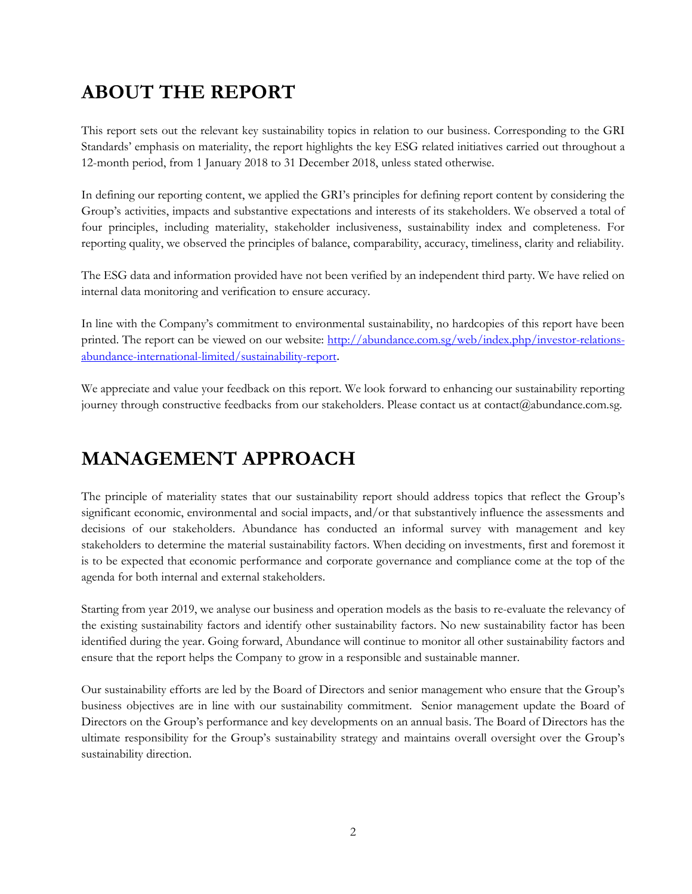## **ABOUT THE REPORT**

This report sets out the relevant key sustainability topics in relation to our business. Corresponding to the GRI Standards' emphasis on materiality, the report highlights the key ESG related initiatives carried out throughout a 12-month period, from 1 January 2018 to 31 December 2018, unless stated otherwise.

In defining our reporting content, we applied the GRI's principles for defining report content by considering the Group's activities, impacts and substantive expectations and interests of its stakeholders. We observed a total of four principles, including materiality, stakeholder inclusiveness, sustainability index and completeness. For reporting quality, we observed the principles of balance, comparability, accuracy, timeliness, clarity and reliability.

The ESG data and information provided have not been verified by an independent third party. We have relied on internal data monitoring and verification to ensure accuracy.

In line with the Company's commitment to environmental sustainability, no hardcopies of this report have been printed. The report can be viewed on our website: [http://abundance.com.sg/web/index.php/investor-relations](http://abundance.com.sg/web/index.php/investor-relations-abundance-international-limited/sustainability-report)[abundance-international-limited/sustainability-report](http://abundance.com.sg/web/index.php/investor-relations-abundance-international-limited/sustainability-report).

We appreciate and value your feedback on this report. We look forward to enhancing our sustainability reporting journey through constructive feedbacks from our stakeholders. Please contact us at [contact@abundance.com.sg.](mailto:contact@abundance.com.sg)

## **MANAGEMENT APPROACH**

The principle of materiality states that our sustainability report should address topics that reflect the Group's significant economic, environmental and social impacts, and/or that substantively influence the assessments and decisions of our stakeholders. Abundance has conducted an informal survey with management and key stakeholders to determine the material sustainability factors. When deciding on investments, first and foremost it is to be expected that economic performance and corporate governance and compliance come at the top of the agenda for both internal and external stakeholders.

Starting from year 2019, we analyse our business and operation models as the basis to re-evaluate the relevancy of the existing sustainability factors and identify other sustainability factors. No new sustainability factor has been identified during the year. Going forward, Abundance will continue to monitor all other sustainability factors and ensure that the report helps the Company to grow in a responsible and sustainable manner.

Our sustainability efforts are led by the Board of Directors and senior management who ensure that the Group's business objectives are in line with our sustainability commitment. Senior management update the Board of Directors on the Group's performance and key developments on an annual basis. The Board of Directors has the ultimate responsibility for the Group's sustainability strategy and maintains overall oversight over the Group's sustainability direction.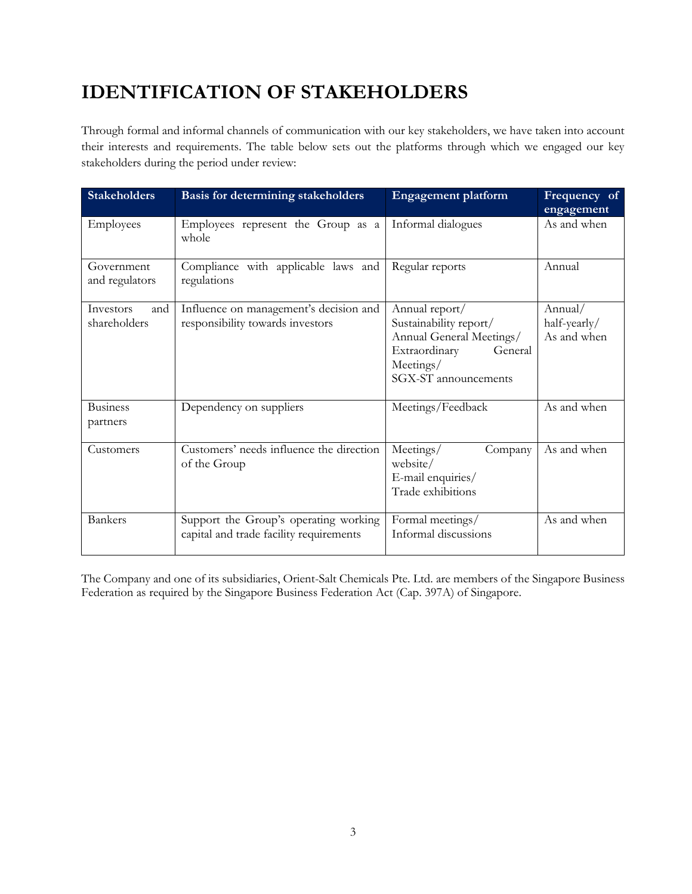## **IDENTIFICATION OF STAKEHOLDERS**

Through formal and informal channels of communication with our key stakeholders, we have taken into account their interests and requirements. The table below sets out the platforms through which we engaged our key stakeholders during the period under review:

| <b>Stakeholders</b>              | Basis for determining stakeholders                                               | <b>Engagement platform</b>                                                                                                            | Frequency of<br>engagement             |
|----------------------------------|----------------------------------------------------------------------------------|---------------------------------------------------------------------------------------------------------------------------------------|----------------------------------------|
| Employees                        | Employees represent the Group as a<br>whole                                      | Informal dialogues                                                                                                                    | As and when                            |
| Government<br>and regulators     | Compliance with applicable laws and<br>regulations                               | Regular reports                                                                                                                       | Annual                                 |
| Investors<br>and<br>shareholders | Influence on management's decision and<br>responsibility towards investors       | Annual report/<br>Sustainability report/<br>Annual General Meetings/<br>Extraordinary<br>General<br>Meetings/<br>SGX-ST announcements | Annual/<br>half-yearly/<br>As and when |
| <b>Business</b><br>partners      | Dependency on suppliers                                                          | Meetings/Feedback                                                                                                                     | As and when                            |
| Customers                        | Customers' needs influence the direction<br>of the Group                         | Meetings/<br>Company<br>website/<br>E-mail enquiries/<br>Trade exhibitions                                                            | As and when                            |
| <b>Bankers</b>                   | Support the Group's operating working<br>capital and trade facility requirements | Formal meetings/<br>Informal discussions                                                                                              | As and when                            |

The Company and one of its subsidiaries, Orient-Salt Chemicals Pte. Ltd. are members of the Singapore Business Federation as required by the Singapore Business Federation Act (Cap. 397A) of Singapore.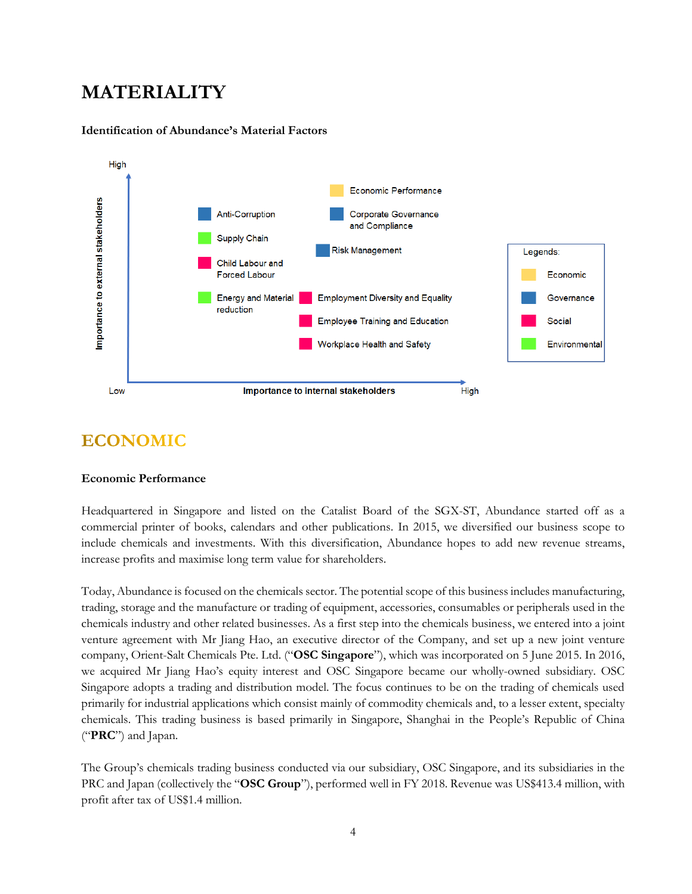## **MATERIALITY**



#### **Identification of Abundance's Material Factors**

#### **ECONOMIC**

#### **Economic Performance**

Headquartered in Singapore and listed on the Catalist Board of the SGX-ST, Abundance started off as a commercial printer of books, calendars and other publications. In 2015, we diversified our business scope to include chemicals and investments. With this diversification, Abundance hopes to add new revenue streams, increase profits and maximise long term value for shareholders.

Today, Abundance is focused on the chemicals sector. The potential scope of this business includes manufacturing, trading, storage and the manufacture or trading of equipment, accessories, consumables or peripherals used in the chemicals industry and other related businesses. As a first step into the chemicals business, we entered into a joint venture agreement with Mr Jiang Hao, an executive director of the Company, and set up a new joint venture company, Orient-Salt Chemicals Pte. Ltd. ("**OSC Singapore**"), which was incorporated on 5 June 2015. In 2016, we acquired Mr Jiang Hao's equity interest and OSC Singapore became our wholly-owned subsidiary. OSC Singapore adopts a trading and distribution model. The focus continues to be on the trading of chemicals used primarily for industrial applications which consist mainly of commodity chemicals and, to a lesser extent, specialty chemicals. This trading business is based primarily in Singapore, Shanghai in the People's Republic of China ("**PRC**") and Japan.

The Group's chemicals trading business conducted via our subsidiary, OSC Singapore, and its subsidiaries in the PRC and Japan (collectively the "**OSC Group**"), performed well in FY 2018. Revenue was US\$413.4 million, with profit after tax of US\$1.4 million.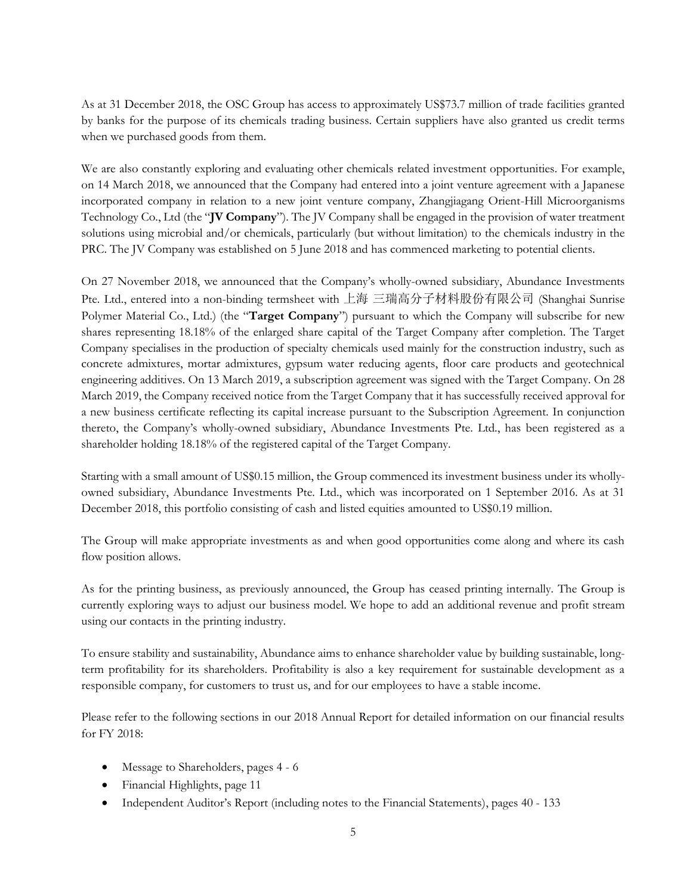As at 31 December 2018, the OSC Group has access to approximately US\$73.7 million of trade facilities granted by banks for the purpose of its chemicals trading business. Certain suppliers have also granted us credit terms when we purchased goods from them.

We are also constantly exploring and evaluating other chemicals related investment opportunities. For example, on 14 March 2018, we announced that the Company had entered into a joint venture agreement with a Japanese incorporated company in relation to a new joint venture company, Zhangjiagang Orient-Hill Microorganisms Technology Co., Ltd (the "**JV Company**"). The JV Company shall be engaged in the provision of water treatment solutions using microbial and/or chemicals, particularly (but without limitation) to the chemicals industry in the PRC. The JV Company was established on 5 June 2018 and has commenced marketing to potential clients.

On 27 November 2018, we announced that the Company's wholly-owned subsidiary, Abundance Investments Pte. Ltd., entered into a non-binding termsheet with 上海 三瑞高分子材料股份有限公司 (Shanghai Sunrise Polymer Material Co., Ltd.) (the "**Target Company**") pursuant to which the Company will subscribe for new shares representing 18.18% of the enlarged share capital of the Target Company after completion. The Target Company specialises in the production of specialty chemicals used mainly for the construction industry, such as concrete admixtures, mortar admixtures, gypsum water reducing agents, floor care products and geotechnical engineering additives. On 13 March 2019, a subscription agreement was signed with the Target Company. On 28 March 2019, the Company received notice from the Target Company that it has successfully received approval for a new business certificate reflecting its capital increase pursuant to the Subscription Agreement. In conjunction thereto, the Company's wholly-owned subsidiary, Abundance Investments Pte. Ltd., has been registered as a shareholder holding 18.18% of the registered capital of the Target Company.

Starting with a small amount of US\$0.15 million, the Group commenced its investment business under its whollyowned subsidiary, Abundance Investments Pte. Ltd., which was incorporated on 1 September 2016. As at 31 December 2018, this portfolio consisting of cash and listed equities amounted to US\$0.19 million.

The Group will make appropriate investments as and when good opportunities come along and where its cash flow position allows.

As for the printing business, as previously announced, the Group has ceased printing internally. The Group is currently exploring ways to adjust our business model. We hope to add an additional revenue and profit stream using our contacts in the printing industry.

To ensure stability and sustainability, Abundance aims to enhance shareholder value by building sustainable, longterm profitability for its shareholders. Profitability is also a key requirement for sustainable development as a responsible company, for customers to trust us, and for our employees to have a stable income.

Please refer to the following sections in our 2018 Annual Report for detailed information on our financial results for FY 2018:

- Message to Shareholders, pages 4 6
- Financial Highlights, page 11
- Independent Auditor's Report (including notes to the Financial Statements), pages 40 133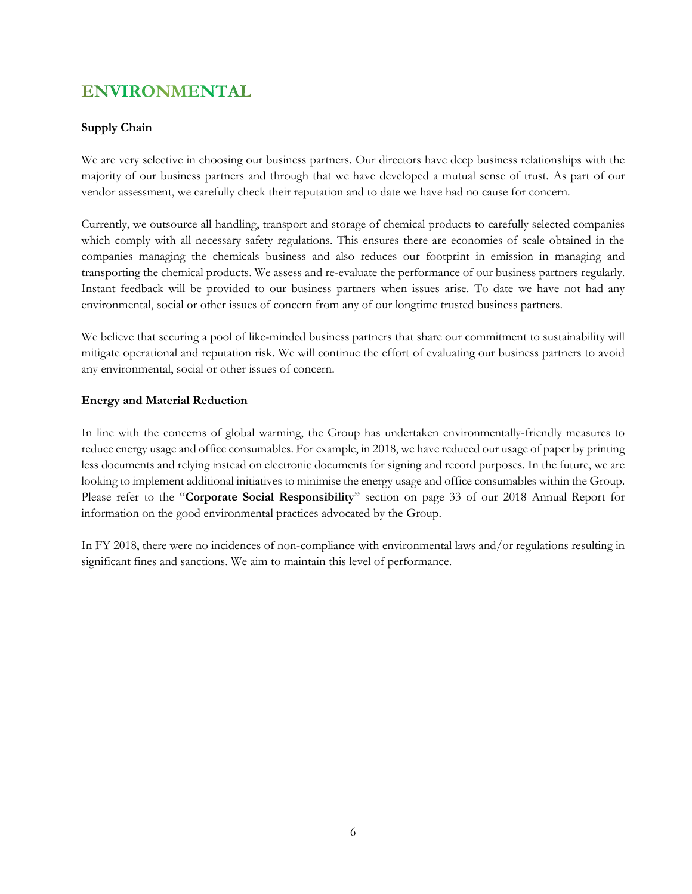## **ENVIRONMENTAL**

#### **Supply Chain**

We are very selective in choosing our business partners. Our directors have deep business relationships with the majority of our business partners and through that we have developed a mutual sense of trust. As part of our vendor assessment, we carefully check their reputation and to date we have had no cause for concern.

Currently, we outsource all handling, transport and storage of chemical products to carefully selected companies which comply with all necessary safety regulations. This ensures there are economies of scale obtained in the companies managing the chemicals business and also reduces our footprint in emission in managing and transporting the chemical products. We assess and re-evaluate the performance of our business partners regularly. Instant feedback will be provided to our business partners when issues arise. To date we have not had any environmental, social or other issues of concern from any of our longtime trusted business partners.

We believe that securing a pool of like-minded business partners that share our commitment to sustainability will mitigate operational and reputation risk. We will continue the effort of evaluating our business partners to avoid any environmental, social or other issues of concern.

#### **Energy and Material Reduction**

In line with the concerns of global warming, the Group has undertaken environmentally-friendly measures to reduce energy usage and office consumables. For example, in 2018, we have reduced our usage of paper by printing less documents and relying instead on electronic documents for signing and record purposes. In the future, we are looking to implement additional initiatives to minimise the energy usage and office consumables within the Group. Please refer to the "**Corporate Social Responsibility**" section on page 33 of our 2018 Annual Report for information on the good environmental practices advocated by the Group.

In FY 2018, there were no incidences of non-compliance with environmental laws and/or regulations resulting in significant fines and sanctions. We aim to maintain this level of performance.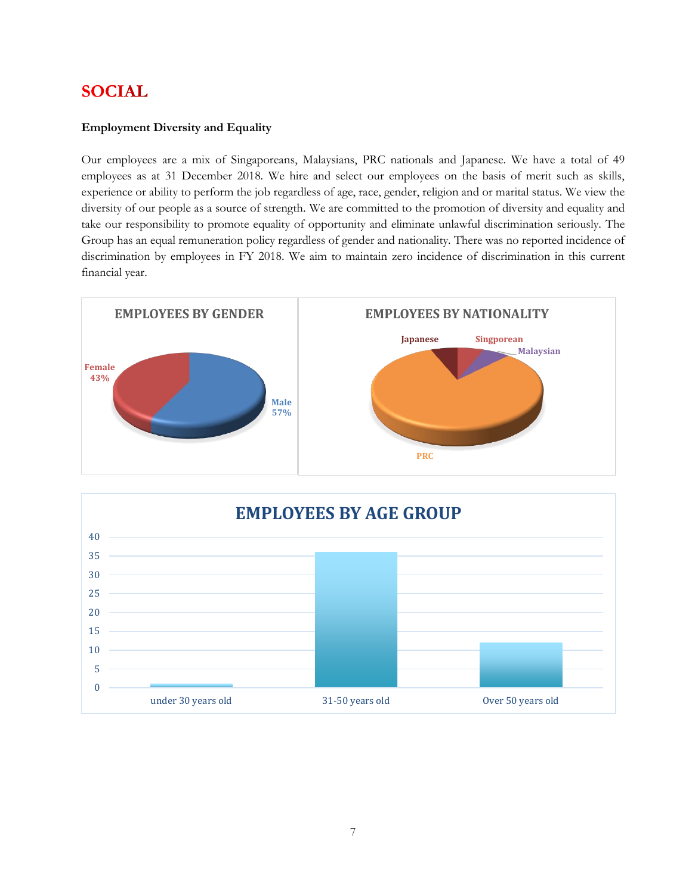## **SOCIAL**

#### **Employment Diversity and Equality**

Our employees are a mix of Singaporeans, Malaysians, PRC nationals and Japanese. We have a total of 49 employees as at 31 December 2018. We hire and select our employees on the basis of merit such as skills, experience or ability to perform the job regardless of age, race, gender, religion and or marital status. We view the diversity of our people as a source of strength. We are committed to the promotion of diversity and equality and take our responsibility to promote equality of opportunity and eliminate unlawful discrimination seriously. The Group has an equal remuneration policy regardless of gender and nationality. There was no reported incidence of discrimination by employees in FY 2018. We aim to maintain zero incidence of discrimination in this current financial year.



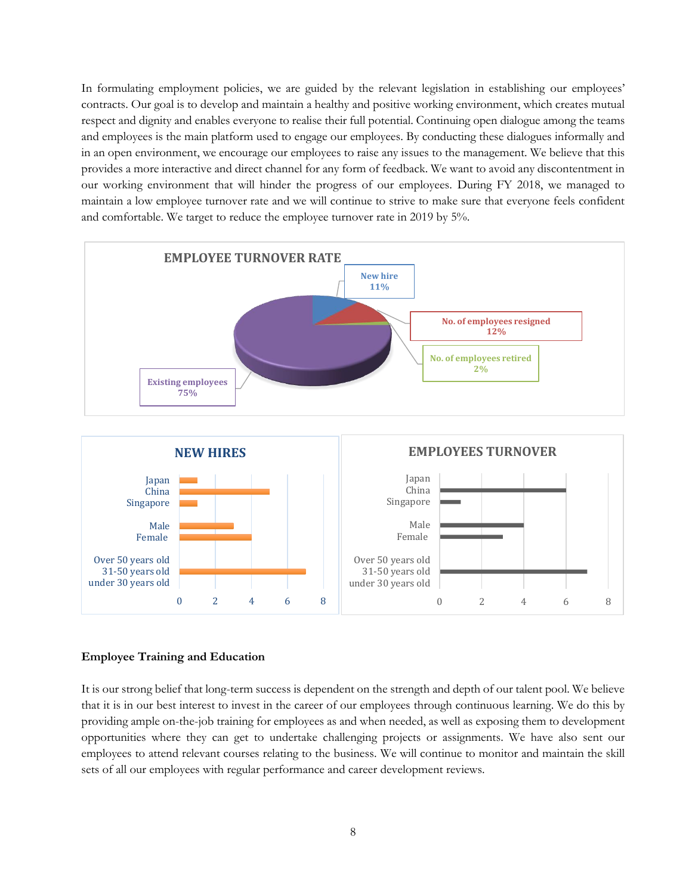In formulating employment policies, we are guided by the relevant legislation in establishing our employees' contracts. Our goal is to develop and maintain a healthy and positive working environment, which creates mutual respect and dignity and enables everyone to realise their full potential. Continuing open dialogue among the teams and employees is the main platform used to engage our employees. By conducting these dialogues informally and in an open environment, we encourage our employees to raise any issues to the management. We believe that this provides a more interactive and direct channel for any form of feedback. We want to avoid any discontentment in our working environment that will hinder the progress of our employees. During FY 2018, we managed to maintain a low employee turnover rate and we will continue to strive to make sure that everyone feels confident and comfortable. We target to reduce the employee turnover rate in 2019 by 5%.



#### **Employee Training and Education**

It is our strong belief that long-term success is dependent on the strength and depth of our talent pool. We believe that it is in our best interest to invest in the career of our employees through continuous learning. We do this by providing ample on-the-job training for employees as and when needed, as well as exposing them to development opportunities where they can get to undertake challenging projects or assignments. We have also sent our employees to attend relevant courses relating to the business. We will continue to monitor and maintain the skill sets of all our employees with regular performance and career development reviews.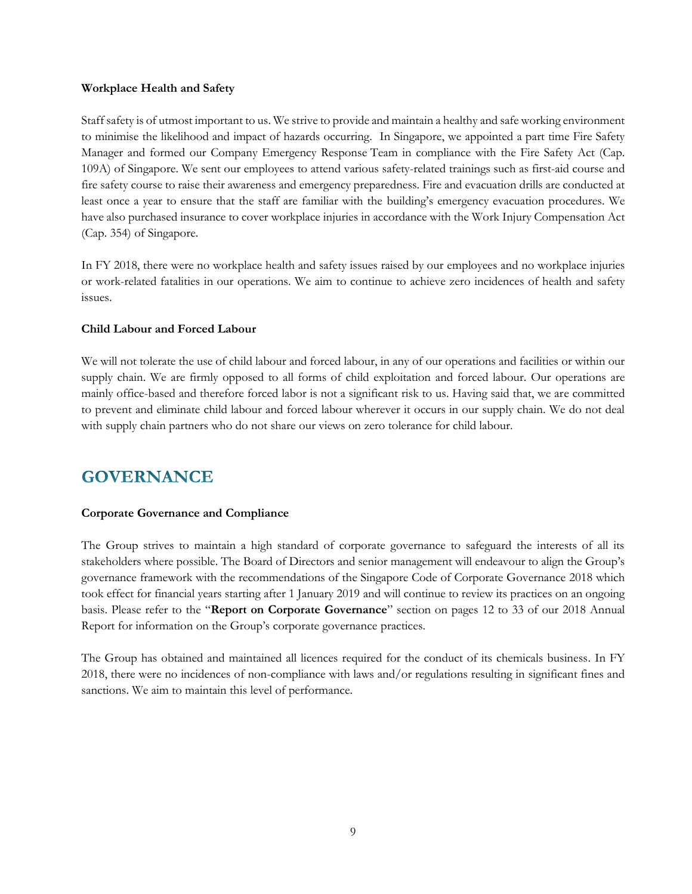#### **Workplace Health and Safety**

Staff safety is of utmost important to us. We strive to provide and maintain a healthy and safe working environment to minimise the likelihood and impact of hazards occurring. In Singapore, we appointed a part time Fire Safety Manager and formed our Company Emergency Response Team in compliance with the Fire Safety Act (Cap. 109A) of Singapore. We sent our employees to attend various safety-related trainings such as first-aid course and fire safety course to raise their awareness and emergency preparedness. Fire and evacuation drills are conducted at least once a year to ensure that the staff are familiar with the building's emergency evacuation procedures. We have also purchased insurance to cover workplace injuries in accordance with the Work Injury Compensation Act (Cap. 354) of Singapore.

In FY 2018, there were no workplace health and safety issues raised by our employees and no workplace injuries or work-related fatalities in our operations. We aim to continue to achieve zero incidences of health and safety issues.

#### **Child Labour and Forced Labour**

We will not tolerate the use of child labour and forced labour, in any of our operations and facilities or within our supply chain. We are firmly opposed to all forms of child exploitation and forced labour. Our operations are mainly office-based and therefore forced labor is not a significant risk to us. Having said that, we are committed to prevent and eliminate child labour and forced labour wherever it occurs in our supply chain. We do not deal with supply chain partners who do not share our views on zero tolerance for child labour.

## **GOVERNANCE**

#### **Corporate Governance and Compliance**

The Group strives to maintain a high standard of corporate governance to safeguard the interests of all its stakeholders where possible. The Board of Directors and senior management will endeavour to align the Group's governance framework with the recommendations of the Singapore Code of Corporate Governance 2018 which took effect for financial years starting after 1 January 2019 and will continue to review its practices on an ongoing basis. Please refer to the "**Report on Corporate Governance**" section on pages 12 to 33 of our 2018 Annual Report for information on the Group's corporate governance practices.

The Group has obtained and maintained all licences required for the conduct of its chemicals business. In FY 2018, there were no incidences of non-compliance with laws and/or regulations resulting in significant fines and sanctions. We aim to maintain this level of performance.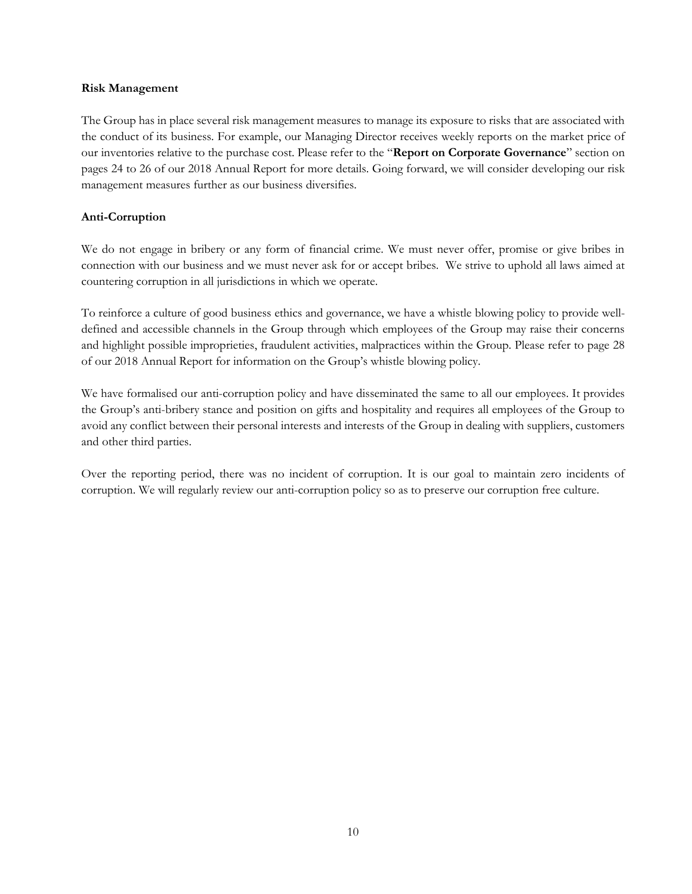#### **Risk Management**

The Group has in place several risk management measures to manage its exposure to risks that are associated with the conduct of its business. For example, our Managing Director receives weekly reports on the market price of our inventories relative to the purchase cost. Please refer to the "**Report on Corporate Governance**" section on pages 24 to 26 of our 2018 Annual Report for more details. Going forward, we will consider developing our risk management measures further as our business diversifies.

#### **Anti-Corruption**

We do not engage in bribery or any form of financial crime. We must never offer, promise or give bribes in connection with our business and we must never ask for or accept bribes. We strive to uphold all laws aimed at countering corruption in all jurisdictions in which we operate.

To reinforce a culture of good business ethics and governance, we have a whistle blowing policy to provide welldefined and accessible channels in the Group through which employees of the Group may raise their concerns and highlight possible improprieties, fraudulent activities, malpractices within the Group. Please refer to page 28 of our 2018 Annual Report for information on the Group's whistle blowing policy.

We have formalised our anti-corruption policy and have disseminated the same to all our employees. It provides the Group's anti-bribery stance and position on gifts and hospitality and requires all employees of the Group to avoid any conflict between their personal interests and interests of the Group in dealing with suppliers, customers and other third parties.

Over the reporting period, there was no incident of corruption. It is our goal to maintain zero incidents of corruption. We will regularly review our anti-corruption policy so as to preserve our corruption free culture.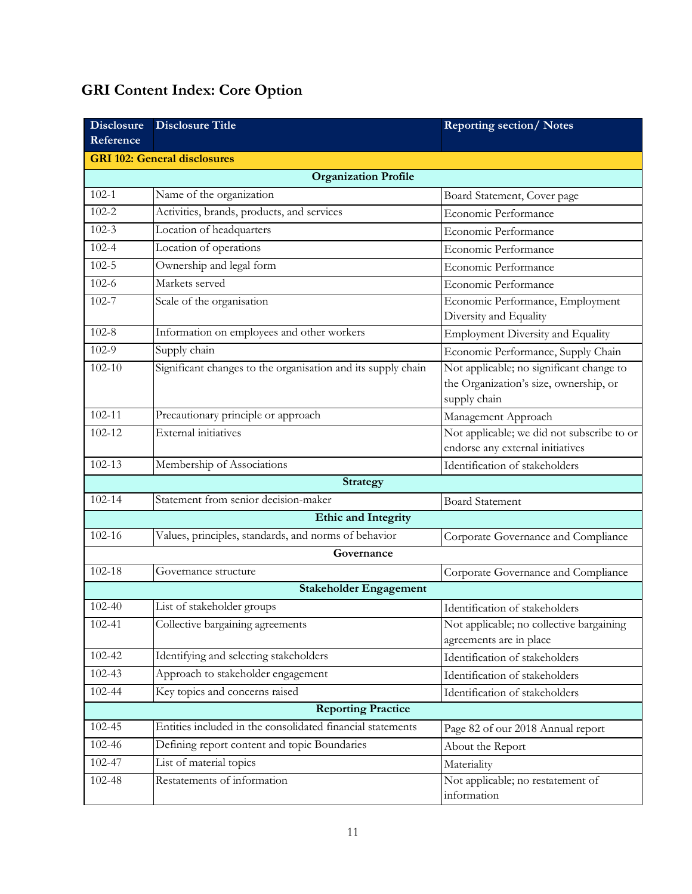## **GRI Content Index: Core Option**

| <b>Disclosure</b>           | <b>Disclosure Title</b>                                      | <b>Reporting section/Notes</b>                                                                     |  |  |
|-----------------------------|--------------------------------------------------------------|----------------------------------------------------------------------------------------------------|--|--|
| Reference                   |                                                              |                                                                                                    |  |  |
|                             | <b>GRI 102: General disclosures</b>                          |                                                                                                    |  |  |
| <b>Organization Profile</b> |                                                              |                                                                                                    |  |  |
| $102 - 1$                   | Name of the organization                                     | Board Statement, Cover page                                                                        |  |  |
| $102 - 2$                   | Activities, brands, products, and services                   | Economic Performance                                                                               |  |  |
| $102 - 3$                   | Location of headquarters                                     | Economic Performance                                                                               |  |  |
| $102 - 4$                   | Location of operations                                       | Economic Performance                                                                               |  |  |
| $102 - 5$                   | Ownership and legal form                                     | Economic Performance                                                                               |  |  |
| $102 - 6$                   | Markets served                                               | Economic Performance                                                                               |  |  |
| $102 - 7$                   | Scale of the organisation                                    | Economic Performance, Employment<br>Diversity and Equality                                         |  |  |
| $102 - 8$                   | Information on employees and other workers                   | <b>Employment Diversity and Equality</b>                                                           |  |  |
| $102-9$                     | Supply chain                                                 | Economic Performance, Supply Chain                                                                 |  |  |
| $102 - 10$                  | Significant changes to the organisation and its supply chain | Not applicable; no significant change to<br>the Organization's size, ownership, or<br>supply chain |  |  |
| $102 - 11$                  | Precautionary principle or approach                          | Management Approach                                                                                |  |  |
| $102 - 12$                  | <b>External</b> initiatives                                  | Not applicable; we did not subscribe to or<br>endorse any external initiatives                     |  |  |
| 102-13                      | Membership of Associations                                   | Identification of stakeholders                                                                     |  |  |
|                             | <b>Strategy</b>                                              |                                                                                                    |  |  |
| $102 - 14$                  | Statement from senior decision-maker                         | <b>Board Statement</b>                                                                             |  |  |
|                             | <b>Ethic and Integrity</b>                                   |                                                                                                    |  |  |
| 102-16                      | Values, principles, standards, and norms of behavior         | Corporate Governance and Compliance                                                                |  |  |
|                             | Governance                                                   |                                                                                                    |  |  |
| $102 - 18$                  | Governance structure                                         | Corporate Governance and Compliance                                                                |  |  |
|                             | <b>Stakeholder Engagement</b>                                |                                                                                                    |  |  |
| 102-40                      | List of stakeholder groups                                   | Identification of stakeholders                                                                     |  |  |
| $102 - 41$                  | Collective bargaining agreements                             | Not applicable; no collective bargaining<br>agreements are in place                                |  |  |
| 102-42                      | Identifying and selecting stakeholders                       | Identification of stakeholders                                                                     |  |  |
| 102-43                      | Approach to stakeholder engagement                           | Identification of stakeholders                                                                     |  |  |
| 102-44                      | Key topics and concerns raised                               | Identification of stakeholders                                                                     |  |  |
| <b>Reporting Practice</b>   |                                                              |                                                                                                    |  |  |
| 102-45                      | Entities included in the consolidated financial statements   | Page 82 of our 2018 Annual report                                                                  |  |  |
| 102-46                      | Defining report content and topic Boundaries                 | About the Report                                                                                   |  |  |
| 102-47                      | List of material topics                                      | Materiality                                                                                        |  |  |
| 102-48                      | Restatements of information                                  | Not applicable; no restatement of<br>information                                                   |  |  |